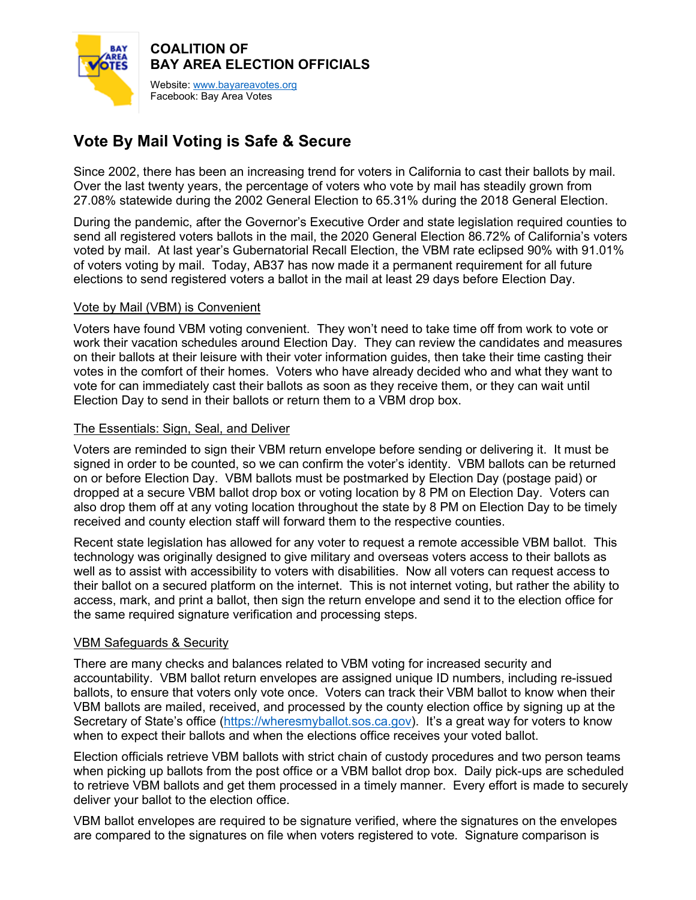

# **Vote By Mail Voting is Safe & Secure**

Since 2002, there has been an increasing trend for voters in California to cast their ballots by mail. Over the last twenty years, the percentage of voters who vote by mail has steadily grown from 27.08% statewide during the 2002 General Election to 65.31% during the 2018 General Election.

During the pandemic, after the Governor's Executive Order and state legislation required counties to send all registered voters ballots in the mail, the 2020 General Election 86.72% of California's voters voted by mail. At last year's Gubernatorial Recall Election, the VBM rate eclipsed 90% with 91.01% of voters voting by mail. Today, AB37 has now made it a permanent requirement for all future elections to send registered voters a ballot in the mail at least 29 days before Election Day.

## Vote by Mail (VBM) is Convenient

Voters have found VBM voting convenient. They won't need to take time off from work to vote or work their vacation schedules around Election Day. They can review the candidates and measures on their ballots at their leisure with their voter information guides, then take their time casting their votes in the comfort of their homes. Voters who have already decided who and what they want to vote for can immediately cast their ballots as soon as they receive them, or they can wait until Election Day to send in their ballots or return them to a VBM drop box.

## The Essentials: Sign, Seal, and Deliver

Voters are reminded to sign their VBM return envelope before sending or delivering it. It must be signed in order to be counted, so we can confirm the voter's identity. VBM ballots can be returned on or before Election Day. VBM ballots must be postmarked by Election Day (postage paid) or dropped at a secure VBM ballot drop box or voting location by 8 PM on Election Day. Voters can also drop them off at any voting location throughout the state by 8 PM on Election Day to be timely received and county election staff will forward them to the respective counties.

Recent state legislation has allowed for any voter to request a remote accessible VBM ballot. This technology was originally designed to give military and overseas voters access to their ballots as well as to assist with accessibility to voters with disabilities. Now all voters can request access to their ballot on a secured platform on the internet. This is not internet voting, but rather the ability to access, mark, and print a ballot, then sign the return envelope and send it to the election office for the same required signature verification and processing steps.

# VBM Safeguards & Security

There are many checks and balances related to VBM voting for increased security and accountability. VBM ballot return envelopes are assigned unique ID numbers, including re-issued ballots, to ensure that voters only vote once. Voters can track their VBM ballot to know when their VBM ballots are mailed, received, and processed by the county election office by signing up at the Secretary of State's office [\(https://wheresmyballot.sos.ca.gov\)](https://wheresmyballot.sos.ca.gov/). It's a great way for voters to know when to expect their ballots and when the elections office receives your voted ballot.

Election officials retrieve VBM ballots with strict chain of custody procedures and two person teams when picking up ballots from the post office or a VBM ballot drop box. Daily pick-ups are scheduled to retrieve VBM ballots and get them processed in a timely manner. Every effort is made to securely deliver your ballot to the election office.

VBM ballot envelopes are required to be signature verified, where the signatures on the envelopes are compared to the signatures on file when voters registered to vote. Signature comparison is